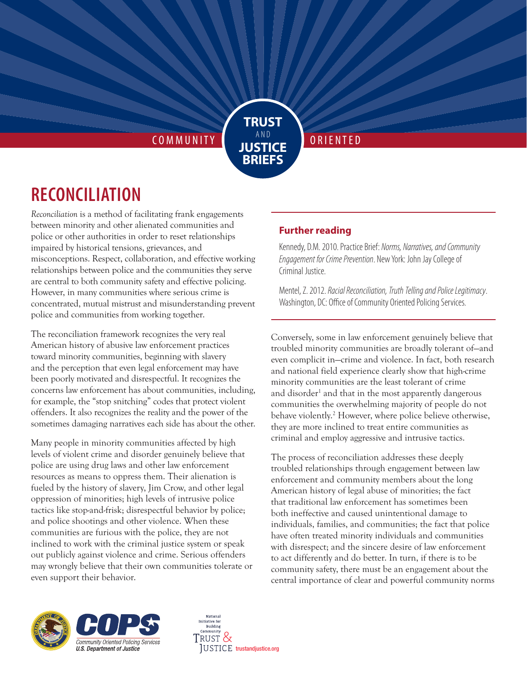COMMUNITY **O RELATED** 

## **RECONCILIATION**

*Reconciliation* is a method of facilitating frank engagements between minority and other alienated communities and police or other authorities in order to reset relationships impaired by historical tensions, grievances, and misconceptions. Respect, collaboration, and effective working relationships between police and the communities they serve are central to both community safety and effective policing. However, in many communities where serious crime is concentrated, mutual mistrust and misunderstanding prevent police and communities from working together.

The reconciliation framework recognizes the very real American history of abusive law enforcement practices toward minority communities, beginning with slavery and the perception that even legal enforcement may have been poorly motivated and disrespectful. It recognizes the concerns law enforcement has about communities, including, for example, the "stop snitching" codes that protect violent offenders. It also recognizes the reality and the power of the sometimes damaging narratives each side has about the other.

Many people in minority communities affected by high levels of violent crime and disorder genuinely believe that police are using drug laws and other law enforcement resources as means to oppress them. Their alienation is fueled by the history of slavery, Jim Crow, and other legal oppression of minorities; high levels of intrusive police tactics like stop-and-frisk; disrespectful behavior by police; and police shootings and other violence. When these communities are furious with the police, they are not inclined to work with the criminal justice system or speak out publicly against violence and crime. Serious offenders may wrongly believe that their own communities tolerate or even support their behavior.

## **Further reading**

**TRUST**١ **JUSTICE BRIEFS**

> Kennedy, D.M. 2010. Practice Brief: *Norms, Narratives, and Community Engagement for Crime Prevention*. New York: John Jay College of Criminal Justice.

Mentel, Z. 2012. *Racial Reconciliation, Truth Telling and Police Legitimacy*. Washington, DC: Office of Community Oriented Policing Services.

Conversely, some in law enforcement genuinely believe that troubled minority communities are broadly tolerant of—and even complicit in—crime and violence. In fact, both research and national field experience clearly show that high-crime minority communities are the least tolerant of crime and disorder<sup>1</sup> and that in the most apparently dangerous communities the overwhelming majority of people do not behave violently.<sup>2</sup> However, where police believe otherwise, they are more inclined to treat entire communities as criminal and employ aggressive and intrusive tactics.

The process of reconciliation addresses these deeply troubled relationships through engagement between law enforcement and community members about the long American history of legal abuse of minorities; the fact that traditional law enforcement has sometimes been both ineffective and caused unintentional damage to individuals, families, and communities; the fact that police have often treated minority individuals and communities with disrespect; and the sincere desire of law enforcement to act differently and do better. In turn, if there is to be community safety, there must be an engagement about the central importance of clear and powerful community norms